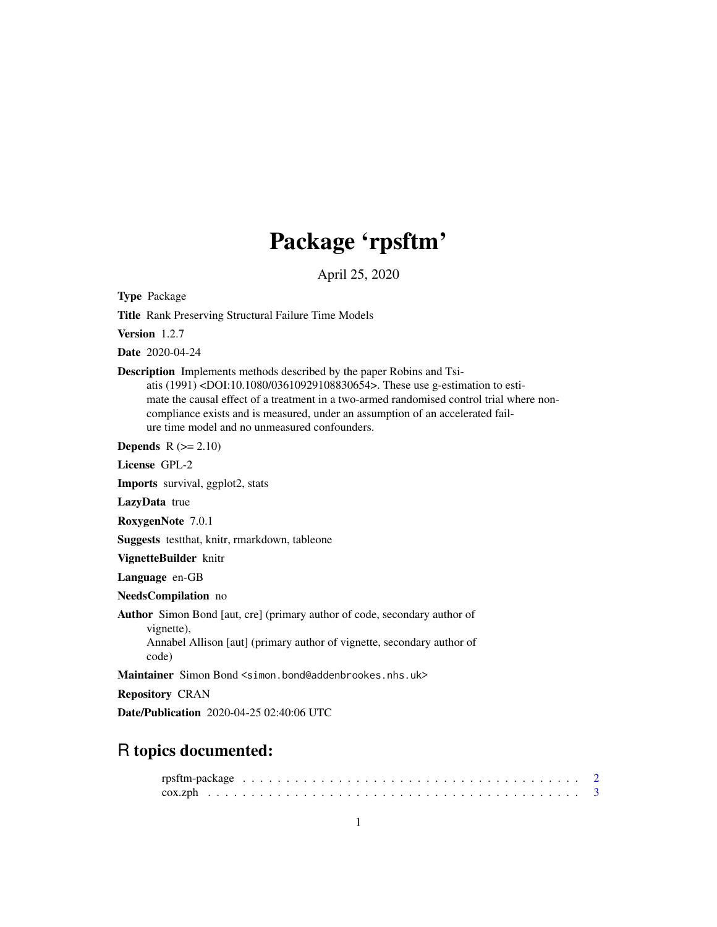# Package 'rpsftm'

April 25, 2020

<span id="page-0-0"></span>Type Package

Title Rank Preserving Structural Failure Time Models

Version 1.2.7

Date 2020-04-24

Description Implements methods described by the paper Robins and Tsiatis (1991) <DOI:10.1080/03610929108830654>. These use g-estimation to estimate the causal effect of a treatment in a two-armed randomised control trial where noncompliance exists and is measured, under an assumption of an accelerated failure time model and no unmeasured confounders.

**Depends**  $R$  ( $>= 2.10$ )

License GPL-2

Imports survival, ggplot2, stats

LazyData true

RoxygenNote 7.0.1

Suggests testthat, knitr, rmarkdown, tableone

VignetteBuilder knitr

Language en-GB

NeedsCompilation no

Author Simon Bond [aut, cre] (primary author of code, secondary author of

vignette),

Annabel Allison [aut] (primary author of vignette, secondary author of code)

Maintainer Simon Bond <simon.bond@addenbrookes.nhs.uk>

Repository CRAN

Date/Publication 2020-04-25 02:40:06 UTC

# R topics documented: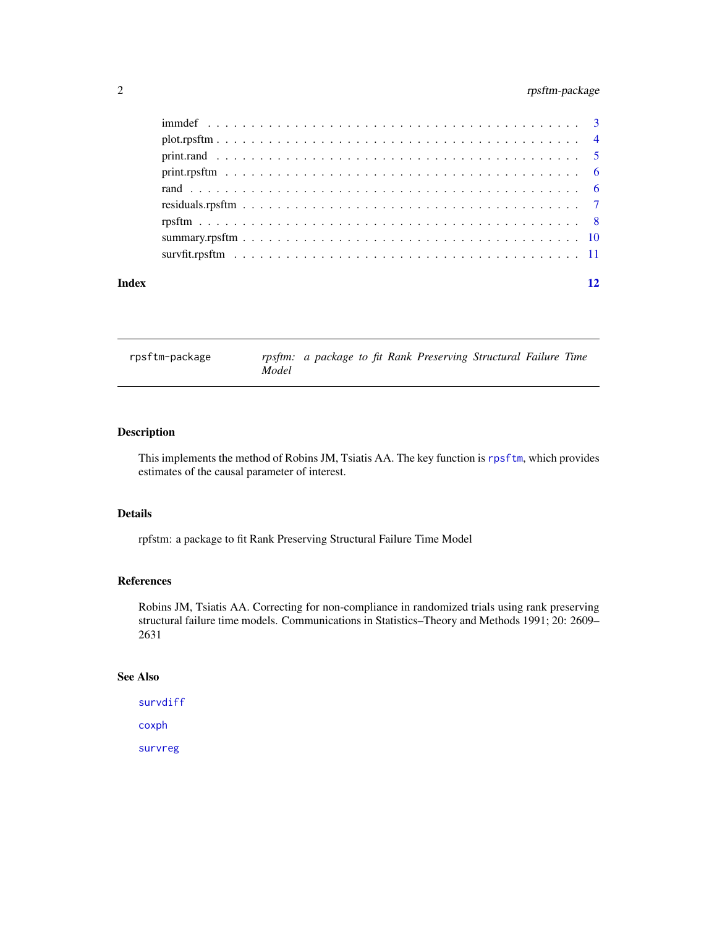# <span id="page-1-0"></span>2 rpsftm-package

| Index | 12 |
|-------|----|
|       |    |
|       |    |
|       |    |
|       |    |
|       |    |
|       |    |
|       |    |
|       |    |
|       |    |

rpsftm-package *rpsftm: a package to fit Rank Preserving Structural Failure Time Model*

### Description

This implements the method of Robins JM, Tsiatis AA. The key function is [rpsftm](#page-7-1), which provides estimates of the causal parameter of interest.

# Details

rpfstm: a package to fit Rank Preserving Structural Failure Time Model

#### References

Robins JM, Tsiatis AA. Correcting for non-compliance in randomized trials using rank preserving structural failure time models. Communications in Statistics–Theory and Methods 1991; 20: 2609– 2631

# See Also

```
survdiff
coxph
survreg
```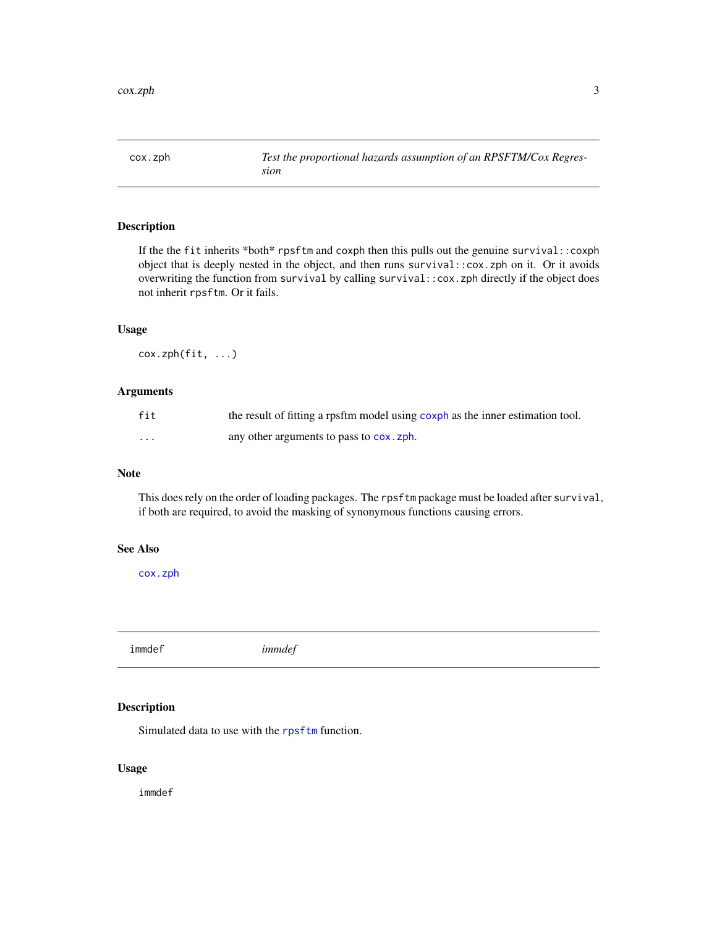<span id="page-2-1"></span><span id="page-2-0"></span>

# Description

If the the fit inherits \*both\* rpsftm and coxph then this pulls out the genuine survival::coxph object that is deeply nested in the object, and then runs survival::cox.zph on it. Or it avoids overwriting the function from survival by calling survival::cox.zph directly if the object does not inherit rpsftm. Or it fails.

### Usage

cox.zph(fit, ...)

#### Arguments

| fit | the result of fitting a rpsftm model using coxph as the inner estimation tool. |
|-----|--------------------------------------------------------------------------------|
| .   | any other arguments to pass to cox.zph.                                        |

#### Note

This does rely on the order of loading packages. The rpsftm package must be loaded after survival, if both are required, to avoid the masking of synonymous functions causing errors.

#### See Also

[cox.zph](#page-2-1)

immdef *immdef*

# Description

Simulated data to use with the [rpsftm](#page-7-1) function.

# Usage

immdef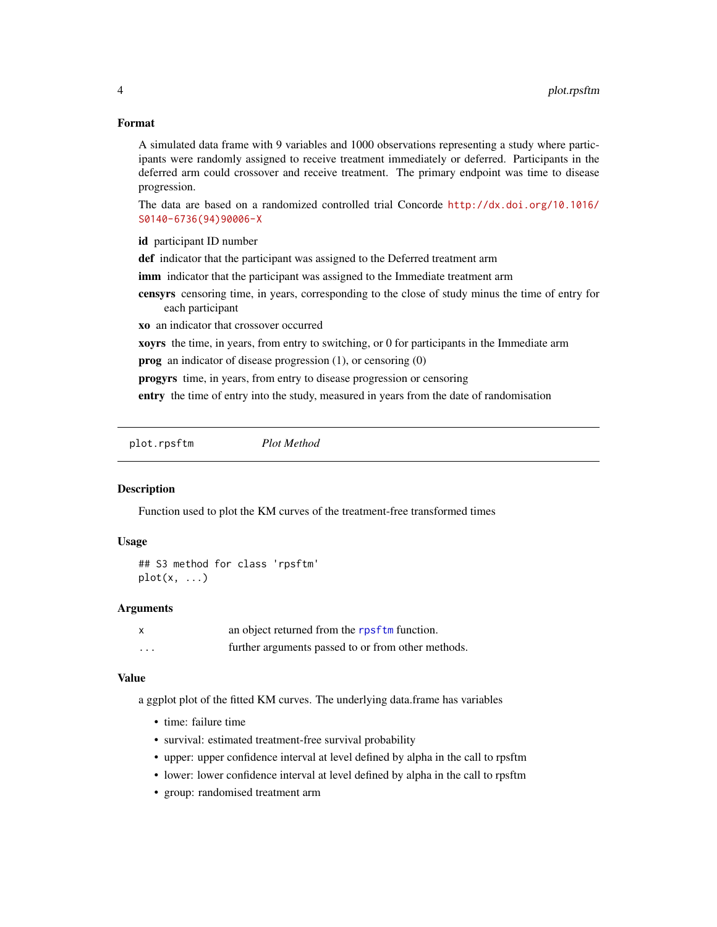#### <span id="page-3-0"></span>Format

A simulated data frame with 9 variables and 1000 observations representing a study where participants were randomly assigned to receive treatment immediately or deferred. Participants in the deferred arm could crossover and receive treatment. The primary endpoint was time to disease progression.

The data are based on a randomized controlled trial Concorde [http://dx.doi.org/10.1016/](http://dx.doi.org/10.1016/S0140-6736(94)90006-X) [S0140-6736\(94\)90006-X](http://dx.doi.org/10.1016/S0140-6736(94)90006-X)

id participant ID number

def indicator that the participant was assigned to the Deferred treatment arm

- imm indicator that the participant was assigned to the Immediate treatment arm
- censyrs censoring time, in years, corresponding to the close of study minus the time of entry for each participant

xo an indicator that crossover occurred

xoyrs the time, in years, from entry to switching, or 0 for participants in the Immediate arm

prog an indicator of disease progression (1), or censoring (0)

progyrs time, in years, from entry to disease progression or censoring

entry the time of entry into the study, measured in years from the date of randomisation

plot.rpsftm *Plot Method*

# Description

Function used to plot the KM curves of the treatment-free transformed times

#### Usage

```
## S3 method for class 'rpsftm'
plot(x, \ldots)
```
#### Arguments

|          | an object returned from the rpsftm function.       |
|----------|----------------------------------------------------|
| $\cdots$ | further arguments passed to or from other methods. |

# Value

a ggplot plot of the fitted KM curves. The underlying data.frame has variables

- time: failure time
- survival: estimated treatment-free survival probability
- upper: upper confidence interval at level defined by alpha in the call to rpsftm
- lower: lower confidence interval at level defined by alpha in the call to rpsftm
- group: randomised treatment arm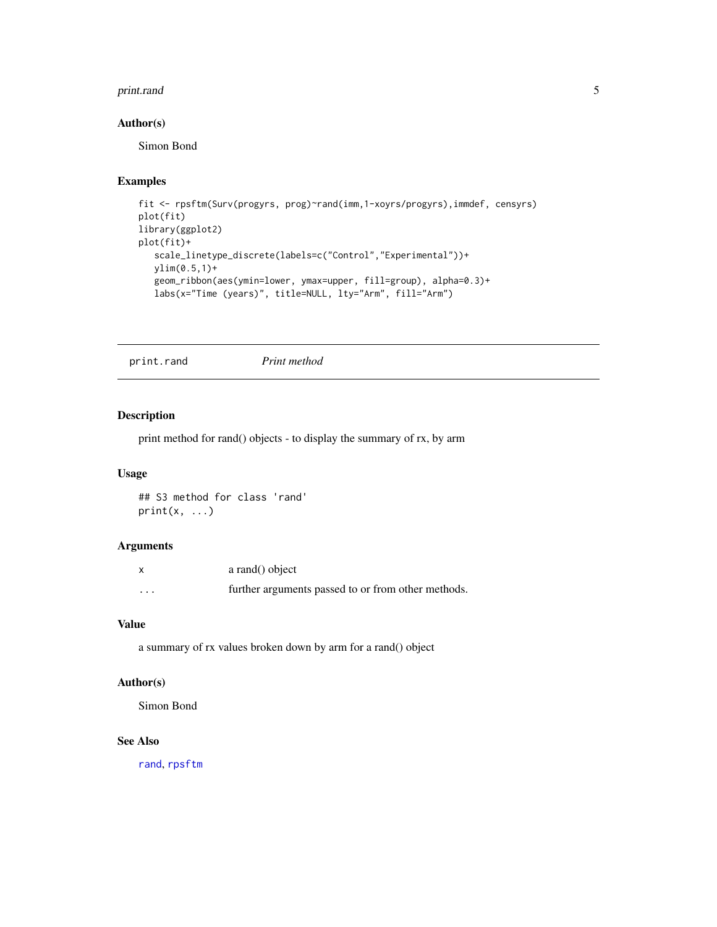#### <span id="page-4-0"></span>print.rand 5

# Author(s)

Simon Bond

# Examples

```
fit <- rpsftm(Surv(progyrs, prog)~rand(imm,1-xoyrs/progyrs),immdef, censyrs)
plot(fit)
library(ggplot2)
plot(fit)+
   scale_linetype_discrete(labels=c("Control","Experimental"))+
   ylim(0.5,1)+
   geom_ribbon(aes(ymin=lower, ymax=upper, fill=group), alpha=0.3)+
   labs(x="Time (years)", title=NULL, lty="Arm", fill="Arm")
```
<span id="page-4-1"></span>print.rand *Print method*

# Description

print method for rand() objects - to display the summary of rx, by arm

# Usage

## S3 method for class 'rand'  $print(x, \ldots)$ 

#### Arguments

|                   | a rand() object                                    |
|-------------------|----------------------------------------------------|
| $\cdot\cdot\cdot$ | further arguments passed to or from other methods. |

#### Value

a summary of rx values broken down by arm for a rand() object

# Author(s)

Simon Bond

# See Also

[rand](#page-5-1), [rpsftm](#page-7-1)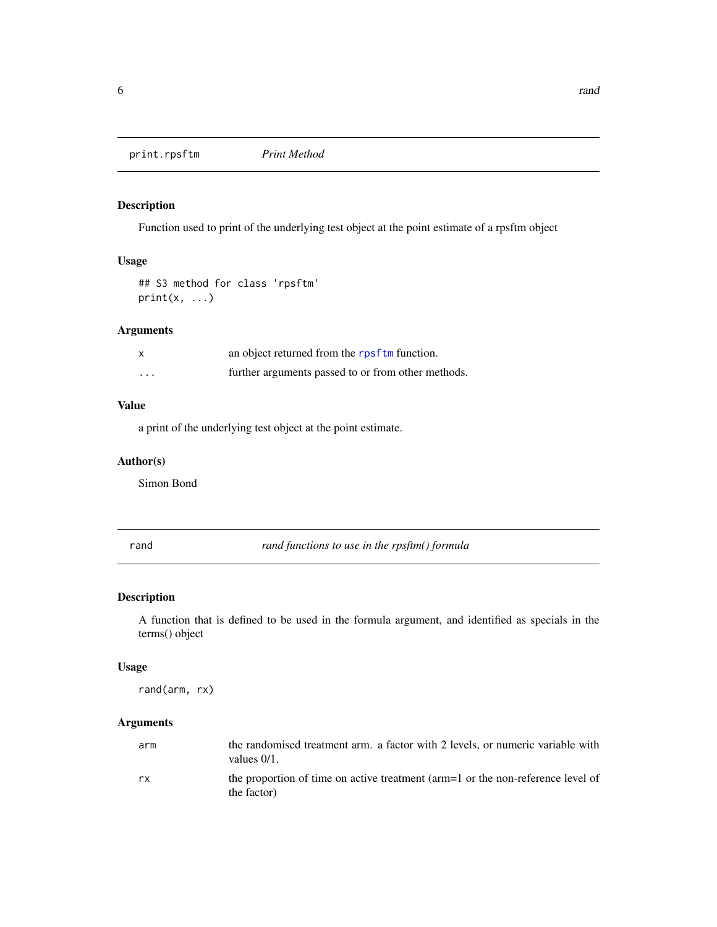<span id="page-5-0"></span>print.rpsftm *Print Method*

# Description

Function used to print of the underlying test object at the point estimate of a rpsftm object

#### Usage

```
## S3 method for class 'rpsftm'
print(x, \ldots)
```
# Arguments

| $\times$ | an object returned from the rpsftm function.       |
|----------|----------------------------------------------------|
| $\cdots$ | further arguments passed to or from other methods. |

# Value

a print of the underlying test object at the point estimate.

# Author(s)

Simon Bond

<span id="page-5-1"></span>rand *rand functions to use in the rpsftm() formula*

# Description

A function that is defined to be used in the formula argument, and identified as specials in the terms() object

#### Usage

rand(arm, rx)

# Arguments

| arm | the randomised treatment arm. a factor with 2 levels, or numeric variable with<br>values $0/1$ . |
|-----|--------------------------------------------------------------------------------------------------|
| rx  | the proportion of time on active treatment (arm=1 or the non-reference level of<br>the factor)   |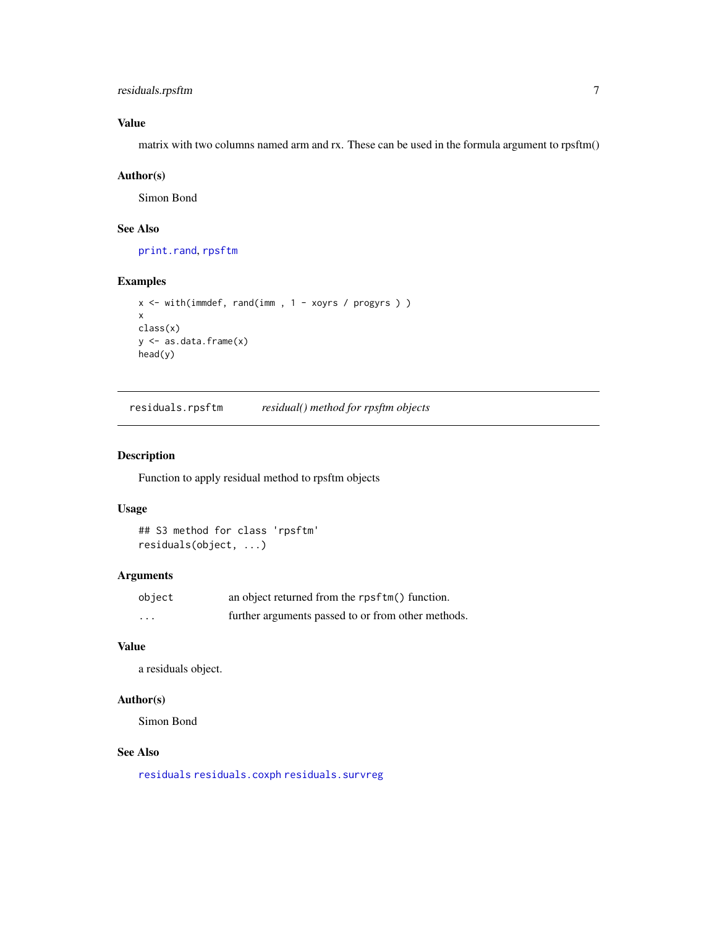# <span id="page-6-0"></span>residuals.rpsftm 7

# Value

matrix with two columns named arm and rx. These can be used in the formula argument to rpsftm()

### Author(s)

Simon Bond

# See Also

[print.rand](#page-4-1), [rpsftm](#page-7-1)

#### Examples

```
x <- with(immdef, rand(imm , 1 - xoyrs / progyrs ) )
x
class(x)
y <- as.data.frame(x)
head(y)
```
residuals.rpsftm *residual() method for rpsftm objects*

# Description

Function to apply residual method to rpsftm objects

### Usage

```
## S3 method for class 'rpsftm'
residuals(object, ...)
```
#### Arguments

| object   | an object returned from the rpsftm() function.     |
|----------|----------------------------------------------------|
| $\cdots$ | further arguments passed to or from other methods. |

# Value

a residuals object.

# Author(s)

Simon Bond

# See Also

[residuals](#page-0-0) [residuals.coxph](#page-0-0) [residuals.survreg](#page-0-0)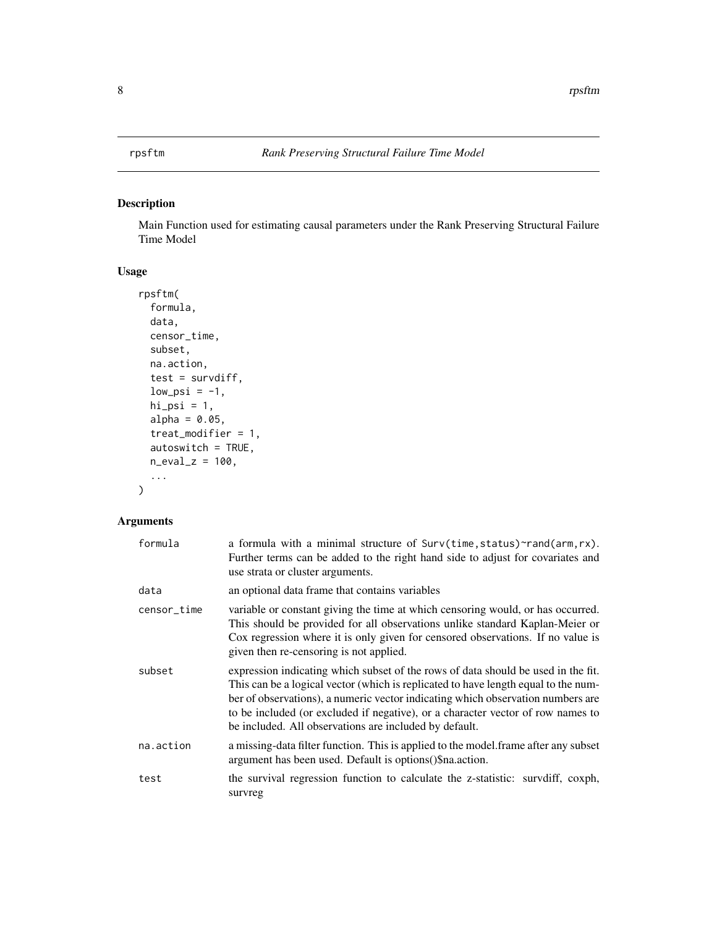<span id="page-7-1"></span><span id="page-7-0"></span>

# Description

Main Function used for estimating causal parameters under the Rank Preserving Structural Failure Time Model

# Usage

```
rpsftm(
  formula,
  data,
  censor_time,
  subset,
  na.action,
  test = survdiff,
  low\_psi = -1,
  hi<sub>psi</sub> = 1,
  alpha = 0.05,
  treat_modifier = 1,
  autoswitch = TRUE,
  n-eval_z = 100,
  ...
)
```
# Arguments

| formula     | a formula with a minimal structure of Surv(time, status)~rand(arm, rx).<br>Further terms can be added to the right hand side to adjust for covariates and<br>use strata or cluster arguments.                                                                                                                                                                                                           |
|-------------|---------------------------------------------------------------------------------------------------------------------------------------------------------------------------------------------------------------------------------------------------------------------------------------------------------------------------------------------------------------------------------------------------------|
| data        | an optional data frame that contains variables                                                                                                                                                                                                                                                                                                                                                          |
| censor_time | variable or constant giving the time at which censoring would, or has occurred.<br>This should be provided for all observations unlike standard Kaplan-Meier or<br>Cox regression where it is only given for censored observations. If no value is<br>given then re-censoring is not applied.                                                                                                           |
| subset      | expression indicating which subset of the rows of data should be used in the fit.<br>This can be a logical vector (which is replicated to have length equal to the num-<br>ber of observations), a numeric vector indicating which observation numbers are<br>to be included (or excluded if negative), or a character vector of row names to<br>be included. All observations are included by default. |
| na.action   | a missing-data filter function. This is applied to the model. frame after any subset<br>argument has been used. Default is options () \$na. action.                                                                                                                                                                                                                                                     |
| test        | the survival regression function to calculate the z-statistic: survdiff, coxph,<br>survreg                                                                                                                                                                                                                                                                                                              |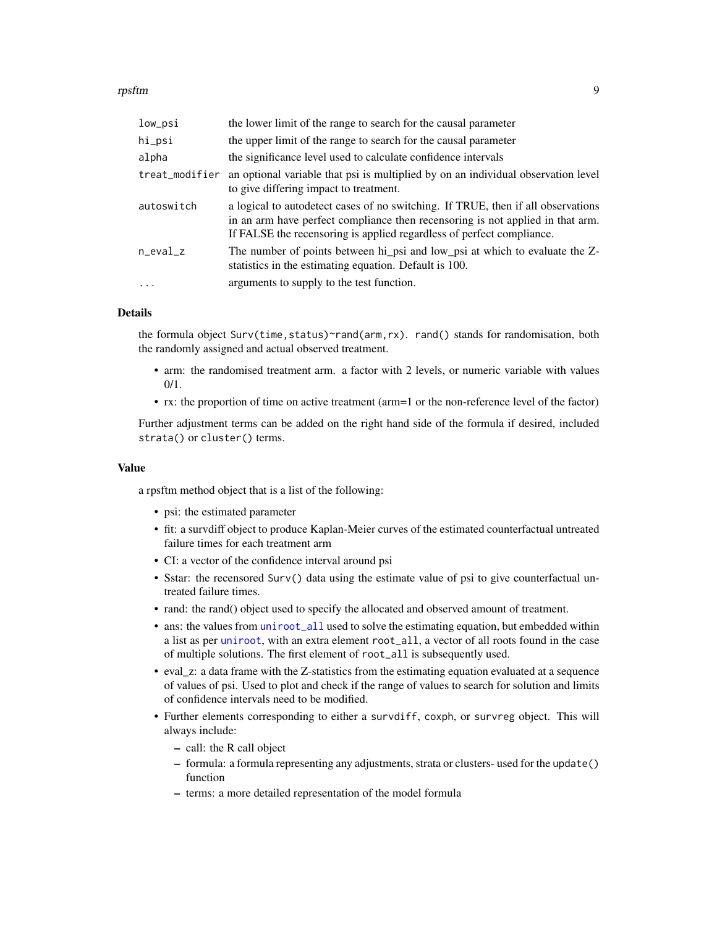#### <span id="page-8-0"></span>rpsftm **9**9

| low_psi           | the lower limit of the range to search for the causal parameter                                                                                                                                                                             |
|-------------------|---------------------------------------------------------------------------------------------------------------------------------------------------------------------------------------------------------------------------------------------|
| hi_psi            | the upper limit of the range to search for the causal parameter                                                                                                                                                                             |
| alpha             | the significance level used to calculate confidence intervals                                                                                                                                                                               |
| treat_modifier    | an optional variable that psi is multiplied by on an individual observation level<br>to give differing impact to treatment.                                                                                                                 |
| autoswitch        | a logical to autodetect cases of no switching. If TRUE, then if all observations<br>in an arm have perfect compliance then recensoring is not applied in that arm.<br>If FALSE the recensoring is applied regardless of perfect compliance. |
| $n$ eval_ $z$     | The number of points between hi_psi and low_psi at which to evaluate the Z-<br>statistics in the estimating equation. Default is 100.                                                                                                       |
| $\cdot\cdot\cdot$ | arguments to supply to the test function.                                                                                                                                                                                                   |

#### Details

the formula object Surv(time, status)~rand(arm,rx). rand() stands for randomisation, both the randomly assigned and actual observed treatment.

- arm: the randomised treatment arm. a factor with 2 levels, or numeric variable with values  $0/1.$
- rx: the proportion of time on active treatment (arm=1 or the non-reference level of the factor)

Further adjustment terms can be added on the right hand side of the formula if desired, included strata() or cluster() terms.

#### Value

a rpsftm method object that is a list of the following:

- psi: the estimated parameter
- fit: a survdiff object to produce Kaplan-Meier curves of the estimated counterfactual untreated failure times for each treatment arm
- CI: a vector of the confidence interval around psi
- Sstar: the recensored Surv() data using the estimate value of psi to give counterfactual untreated failure times.
- rand: the rand() object used to specify the allocated and observed amount of treatment.
- ans: the values from [uniroot\\_all](#page-0-0) used to solve the estimating equation, but embedded within a list as per [uniroot](#page-0-0), with an extra element root\_all, a vector of all roots found in the case of multiple solutions. The first element of root\_all is subsequently used.
- eval\_z: a data frame with the Z-statistics from the estimating equation evaluated at a sequence of values of psi. Used to plot and check if the range of values to search for solution and limits of confidence intervals need to be modified.
- Further elements corresponding to either a survdiff, coxph, or survreg object. This will always include:
	- call: the R call object
	- formula: a formula representing any adjustments, strata or clusters- used for the update() function
	- terms: a more detailed representation of the model formula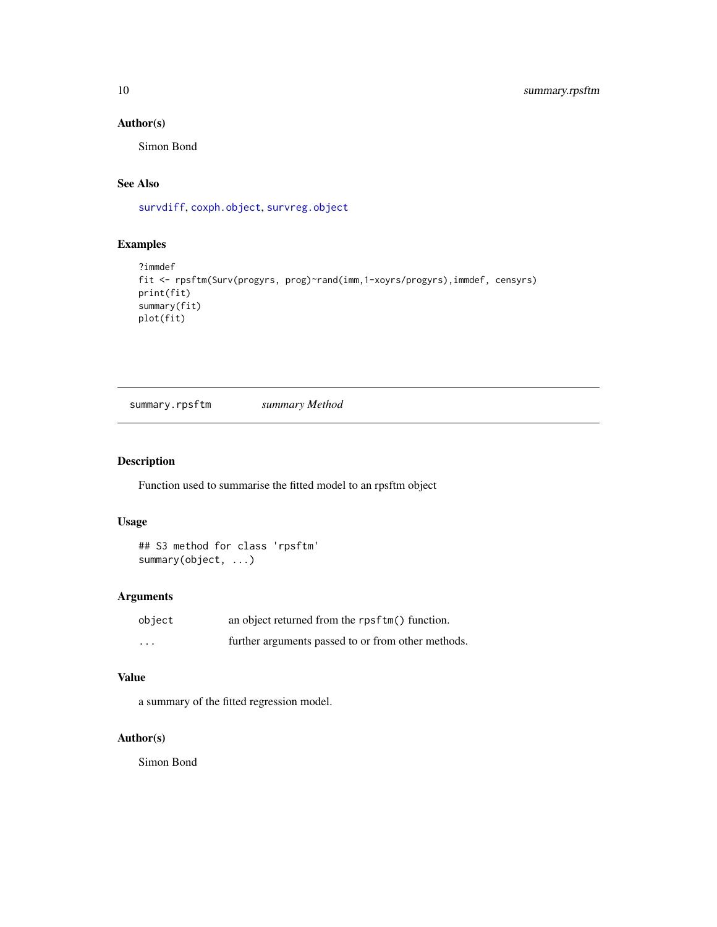# <span id="page-9-0"></span>Author(s)

Simon Bond

# See Also

[survdiff](#page-0-0), [coxph.object](#page-0-0), [survreg.object](#page-0-0)

# Examples

```
?immdef
fit <- rpsftm(Surv(progyrs, prog)~rand(imm,1-xoyrs/progyrs),immdef, censyrs)
print(fit)
summary(fit)
plot(fit)
```
summary.rpsftm *summary Method*

# Description

Function used to summarise the fitted model to an rpsftm object

#### Usage

```
## S3 method for class 'rpsftm'
summary(object, ...)
```
# Arguments

| object   | an object returned from the rpsftm() function.     |
|----------|----------------------------------------------------|
| $\cdots$ | further arguments passed to or from other methods. |

# Value

a summary of the fitted regression model.

# Author(s)

Simon Bond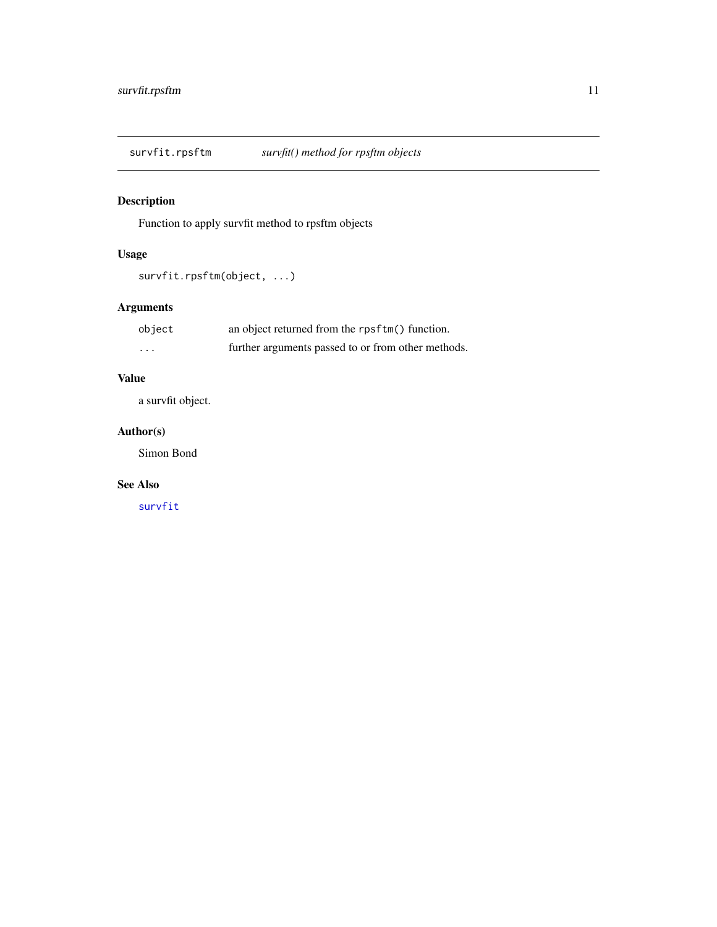<span id="page-10-0"></span>survfit.rpsftm *survfit() method for rpsftm objects*

# Description

Function to apply survfit method to rpsftm objects

# Usage

```
survfit.rpsftm(object, ...)
```
# Arguments

| object   | an object returned from the rpsftm() function.     |
|----------|----------------------------------------------------|
| $\cdots$ | further arguments passed to or from other methods. |

# Value

a survfit object.

# Author(s)

Simon Bond

# See Also

[survfit](#page-0-0)